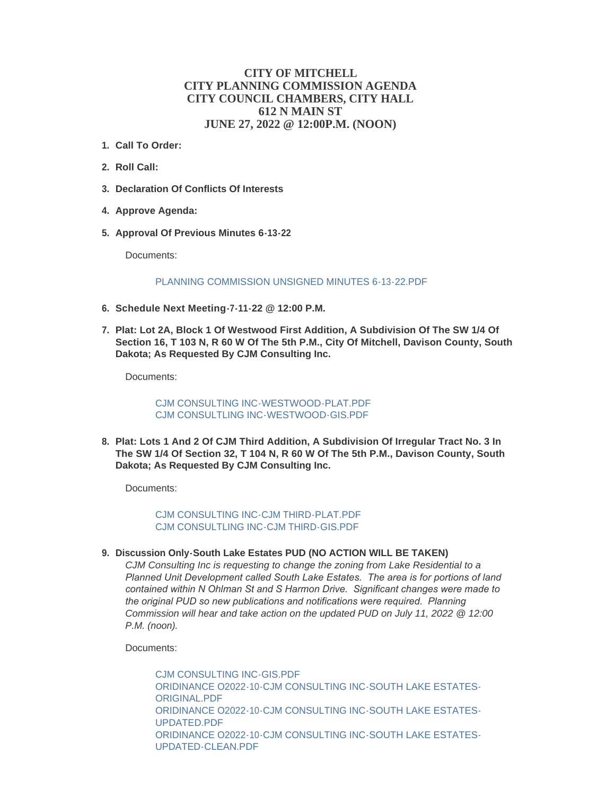## **CITY OF MITCHELL CITY PLANNING COMMISSION AGENDA CITY COUNCIL CHAMBERS, CITY HALL 612 N MAIN ST JUNE 27, 2022 @ 12:00P.M. (NOON)**

- **Call To Order: 1.**
- **Roll Call: 2.**
- **Declaration Of Conflicts Of Interests 3.**
- **Approve Agenda: 4.**
- **Approval Of Previous Minutes 6-13-22 5.**

Documents:

## [PLANNING COMMISSION UNSIGNED MINUTES 6-13-22.PDF](https://www.cityofmitchell.org/AgendaCenter/ViewFile/Item/14032?fileID=20010)

- **Schedule Next Meeting-7-11-22 @ 12:00 P.M. 6.**
- **Plat: Lot 2A, Block 1 Of Westwood First Addition, A Subdivision Of The SW 1/4 Of 7. Section 16, T 103 N, R 60 W Of The 5th P.M., City Of Mitchell, Davison County, South Dakota; As Requested By CJM Consulting Inc.**

Documents:

[CJM CONSULTING INC-WESTWOOD-PLAT.PDF](https://www.cityofmitchell.org/AgendaCenter/ViewFile/Item/14034?fileID=20011) [CJM CONSULTLING INC-WESTWOOD-GIS.PDF](https://www.cityofmitchell.org/AgendaCenter/ViewFile/Item/14034?fileID=20012)

**Plat: Lots 1 And 2 Of CJM Third Addition, A Subdivision Of Irregular Tract No. 3 In 8. The SW 1/4 Of Section 32, T 104 N, R 60 W Of The 5th P.M., Davison County, South Dakota; As Requested By CJM Consulting Inc.**

Documents:

[CJM CONSULTING INC-CJM THIRD-PLAT.PDF](https://www.cityofmitchell.org/AgendaCenter/ViewFile/Item/14035?fileID=20013) [CJM CONSULTLING INC-CJM THIRD-GIS.PDF](https://www.cityofmitchell.org/AgendaCenter/ViewFile/Item/14035?fileID=20014)

**Discussion Only-South Lake Estates PUD (NO ACTION WILL BE TAKEN) 9.**

*CJM Consulting Inc is requesting to change the zoning from Lake Residential to a Planned Unit Development called South Lake Estates. The area is for portions of land contained within N Ohlman St and S Harmon Drive. Significant changes were made to the original PUD so new publications and notifications were required. Planning Commission will hear and take action on the updated PUD on July 11, 2022 @ 12:00 P.M. (noon).*

Documents:

[CJM CONSULTING INC-GIS.PDF](https://www.cityofmitchell.org/AgendaCenter/ViewFile/Item/14036?fileID=20021) [ORIDINANCE O2022-10-CJM CONSULTING INC-SOUTH LAKE ESTATES-](https://www.cityofmitchell.org/AgendaCenter/ViewFile/Item/14036?fileID=20022)ORIGINAL.PDF [ORIDINANCE O2022-10-CJM CONSULTING INC-SOUTH LAKE ESTATES-](https://www.cityofmitchell.org/AgendaCenter/ViewFile/Item/14036?fileID=20023)UPDATED.PDF [ORIDINANCE O2022-10-CJM CONSULTING INC-SOUTH LAKE ESTATES-](https://www.cityofmitchell.org/AgendaCenter/ViewFile/Item/14036?fileID=20024)UPDATED-CLEAN.PDF